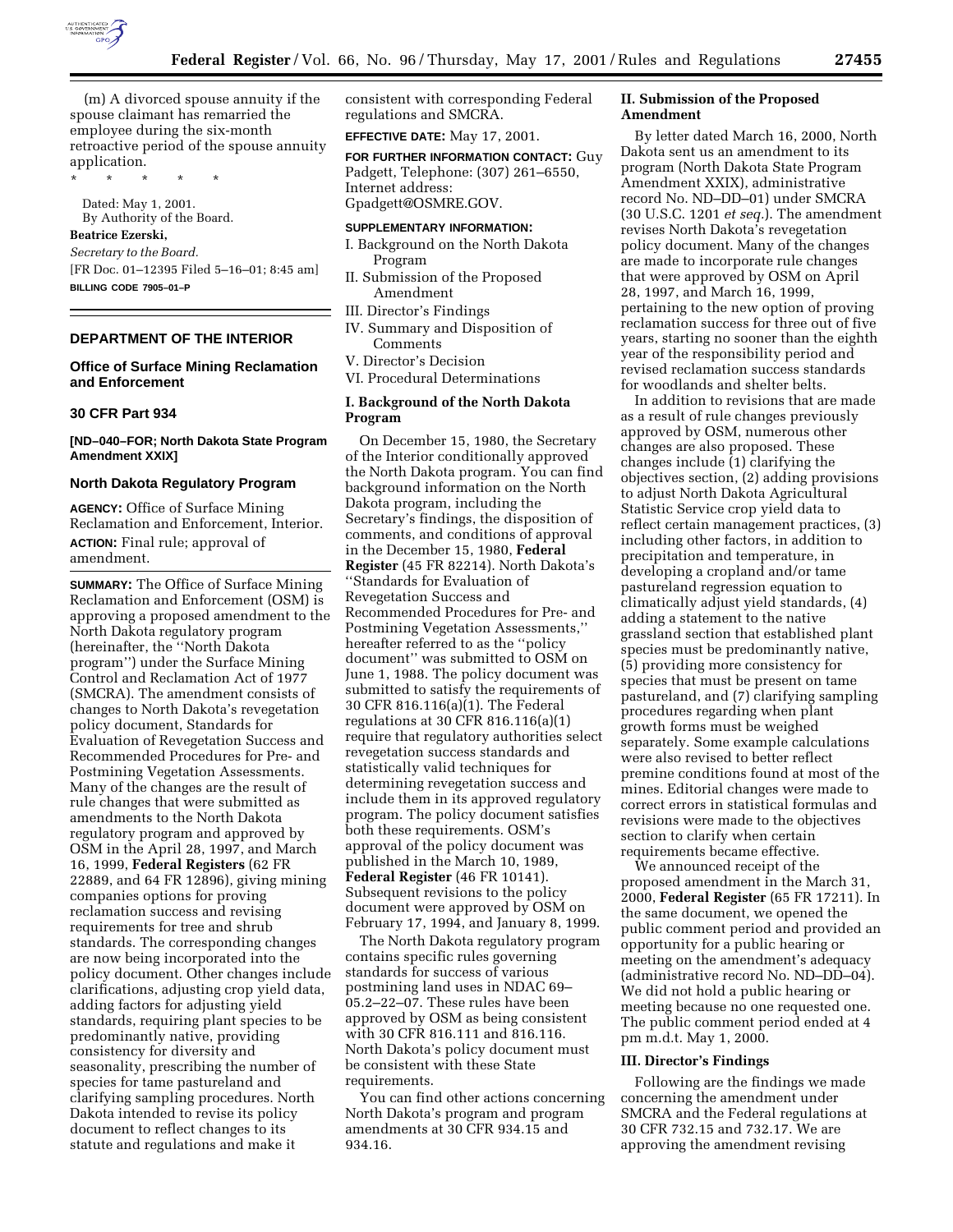

(m) A divorced spouse annuity if the spouse claimant has remarried the employee during the six-month retroactive period of the spouse annuity application.

\* \* \* \* \*

Dated: May 1, 2001. By Authority of the Board. **Beatrice Ezerski,** *Secretary to the Board.* [FR Doc. 01–12395 Filed 5–16–01; 8:45 am]

# **DEPARTMENT OF THE INTERIOR**

## **Office of Surface Mining Reclamation and Enforcement**

#### **30 CFR Part 934**

**BILLING CODE 7905–01–P**

**[ND–040–FOR; North Dakota State Program Amendment XXIX]**

#### **North Dakota Regulatory Program**

**AGENCY:** Office of Surface Mining Reclamation and Enforcement, Interior. **ACTION:** Final rule; approval of amendment.

**SUMMARY:** The Office of Surface Mining Reclamation and Enforcement (OSM) is approving a proposed amendment to the North Dakota regulatory program (hereinafter, the ''North Dakota program'') under the Surface Mining Control and Reclamation Act of 1977 (SMCRA). The amendment consists of changes to North Dakota's revegetation policy document, Standards for Evaluation of Revegetation Success and Recommended Procedures for Pre- and Postmining Vegetation Assessments. Many of the changes are the result of rule changes that were submitted as amendments to the North Dakota regulatory program and approved by OSM in the April 28, 1997, and March 16, 1999, **Federal Registers** (62 FR 22889, and 64 FR 12896), giving mining companies options for proving reclamation success and revising requirements for tree and shrub standards. The corresponding changes are now being incorporated into the policy document. Other changes include clarifications, adjusting crop yield data, adding factors for adjusting yield standards, requiring plant species to be predominantly native, providing consistency for diversity and seasonality, prescribing the number of species for tame pastureland and clarifying sampling procedures. North Dakota intended to revise its policy document to reflect changes to its statute and regulations and make it

consistent with corresponding Federal regulations and SMCRA.

**EFFECTIVE DATE:** May 17, 2001.

**FOR FURTHER INFORMATION CONTACT:** Guy Padgett, Telephone: (307) 261–6550, Internet address: Gpadgett@OSMRE.GOV.

#### **SUPPLEMENTARY INFORMATION:**

I. Background on the North Dakota Program

- II. Submission of the Proposed Amendment
- III. Director's Findings
- IV. Summary and Disposition of Comments

V. Director's Decision

VI. Procedural Determinations

# **I. Background of the North Dakota Program**

On December 15, 1980, the Secretary of the Interior conditionally approved the North Dakota program. You can find background information on the North Dakota program, including the Secretary's findings, the disposition of comments, and conditions of approval in the December 15, 1980, **Federal Register** (45 FR 82214). North Dakota's ''Standards for Evaluation of Revegetation Success and Recommended Procedures for Pre- and Postmining Vegetation Assessments,'' hereafter referred to as the ''policy document'' was submitted to OSM on June 1, 1988. The policy document was submitted to satisfy the requirements of 30 CFR 816.116(a)(1). The Federal regulations at 30 CFR 816.116(a)(1) require that regulatory authorities select revegetation success standards and statistically valid techniques for determining revegetation success and include them in its approved regulatory program. The policy document satisfies both these requirements. OSM's approval of the policy document was published in the March 10, 1989, **Federal Register** (46 FR 10141). Subsequent revisions to the policy document were approved by OSM on February 17, 1994, and January 8, 1999.

The North Dakota regulatory program contains specific rules governing standards for success of various postmining land uses in NDAC 69– 05.2–22–07. These rules have been approved by OSM as being consistent with 30 CFR 816.111 and 816.116. North Dakota's policy document must be consistent with these State requirements.

You can find other actions concerning North Dakota's program and program amendments at 30 CFR 934.15 and 934.16.

# **II. Submission of the Proposed Amendment**

By letter dated March 16, 2000, North Dakota sent us an amendment to its program (North Dakota State Program Amendment XXIX), administrative record No. ND–DD–01) under SMCRA (30 U.S.C. 1201 *et seq.*). The amendment revises North Dakota's revegetation policy document. Many of the changes are made to incorporate rule changes that were approved by OSM on April 28, 1997, and March 16, 1999, pertaining to the new option of proving reclamation success for three out of five years, starting no sooner than the eighth year of the responsibility period and revised reclamation success standards for woodlands and shelter belts.

In addition to revisions that are made as a result of rule changes previously approved by OSM, numerous other changes are also proposed. These changes include (1) clarifying the objectives section, (2) adding provisions to adjust North Dakota Agricultural Statistic Service crop yield data to reflect certain management practices, (3) including other factors, in addition to precipitation and temperature, in developing a cropland and/or tame pastureland regression equation to climatically adjust yield standards, (4) adding a statement to the native grassland section that established plant species must be predominantly native, (5) providing more consistency for species that must be present on tame pastureland, and (7) clarifying sampling procedures regarding when plant growth forms must be weighed separately. Some example calculations were also revised to better reflect premine conditions found at most of the mines. Editorial changes were made to correct errors in statistical formulas and revisions were made to the objectives section to clarify when certain requirements became effective.

We announced receipt of the proposed amendment in the March 31, 2000, **Federal Register** (65 FR 17211). In the same document, we opened the public comment period and provided an opportunity for a public hearing or meeting on the amendment's adequacy (administrative record No. ND–DD–04). We did not hold a public hearing or meeting because no one requested one. The public comment period ended at 4 pm m.d.t. May 1, 2000.

#### **III. Director's Findings**

Following are the findings we made concerning the amendment under SMCRA and the Federal regulations at 30 CFR 732.15 and 732.17. We are approving the amendment revising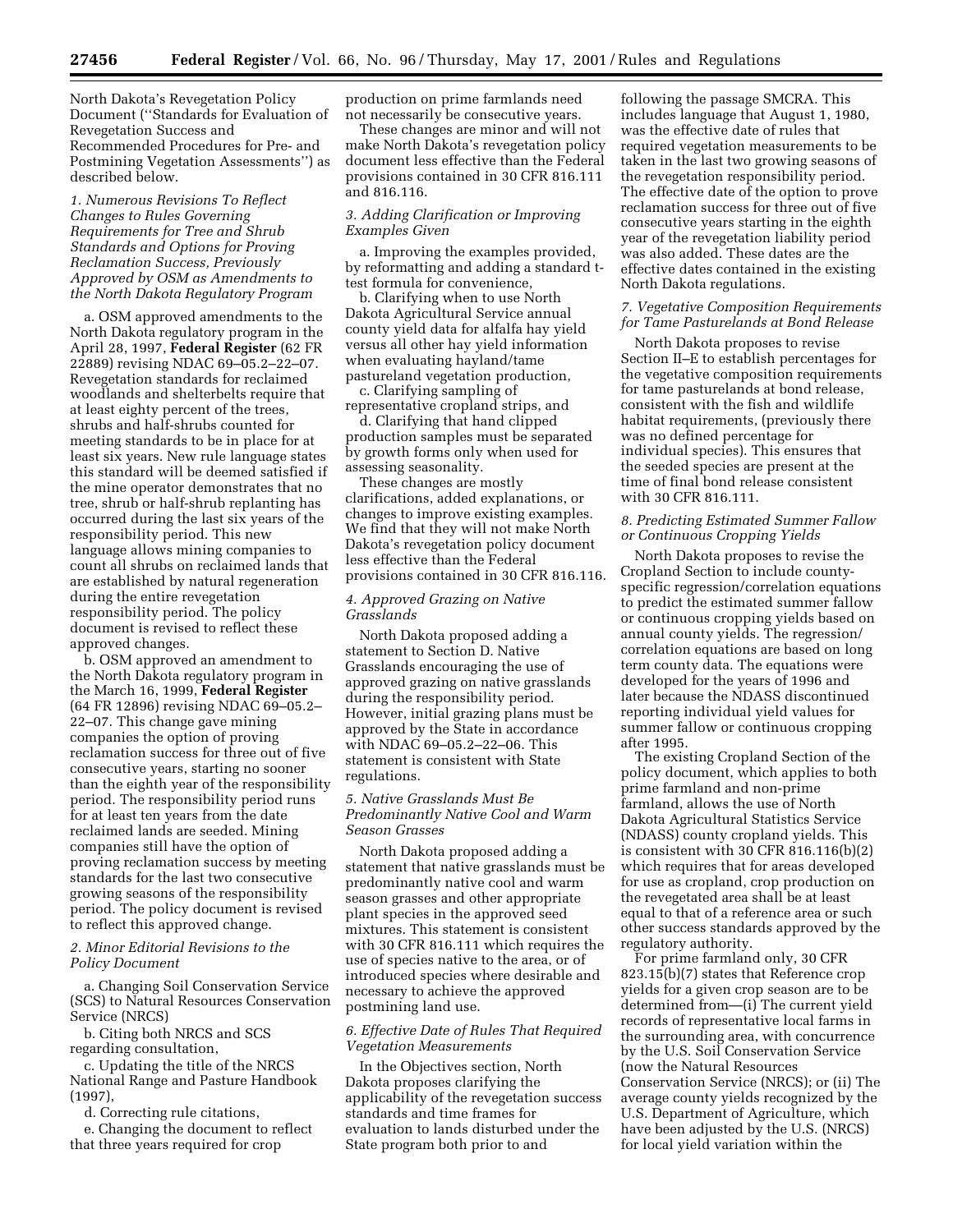North Dakota's Revegetation Policy Document (''Standards for Evaluation of Revegetation Success and Recommended Procedures for Pre- and Postmining Vegetation Assessments'') as described below.

*1. Numerous Revisions To Reflect Changes to Rules Governing Requirements for Tree and Shrub Standards and Options for Proving Reclamation Success, Previously Approved by OSM as Amendments to the North Dakota Regulatory Program*

a. OSM approved amendments to the North Dakota regulatory program in the April 28, 1997, **Federal Register** (62 FR 22889) revising NDAC 69–05.2–22–07. Revegetation standards for reclaimed woodlands and shelterbelts require that at least eighty percent of the trees, shrubs and half-shrubs counted for meeting standards to be in place for at least six years. New rule language states this standard will be deemed satisfied if the mine operator demonstrates that no tree, shrub or half-shrub replanting has occurred during the last six years of the responsibility period. This new language allows mining companies to count all shrubs on reclaimed lands that are established by natural regeneration during the entire revegetation responsibility period. The policy document is revised to reflect these approved changes.

b. OSM approved an amendment to the North Dakota regulatory program in the March 16, 1999, **Federal Register** (64 FR 12896) revising NDAC 69–05.2– 22–07. This change gave mining companies the option of proving reclamation success for three out of five consecutive years, starting no sooner than the eighth year of the responsibility period. The responsibility period runs for at least ten years from the date reclaimed lands are seeded. Mining companies still have the option of proving reclamation success by meeting standards for the last two consecutive growing seasons of the responsibility period. The policy document is revised to reflect this approved change.

# *2. Minor Editorial Revisions to the Policy Document*

a. Changing Soil Conservation Service (SCS) to Natural Resources Conservation Service (NRCS)

b. Citing both NRCS and SCS regarding consultation,

c. Updating the title of the NRCS National Range and Pasture Handbook (1997),

d. Correcting rule citations,

e. Changing the document to reflect that three years required for crop

production on prime farmlands need not necessarily be consecutive years.

These changes are minor and will not make North Dakota's revegetation policy document less effective than the Federal provisions contained in 30 CFR 816.111 and 816.116.

#### *3. Adding Clarification or Improving Examples Given*

a. Improving the examples provided, by reformatting and adding a standard ttest formula for convenience,

b. Clarifying when to use North Dakota Agricultural Service annual county yield data for alfalfa hay yield versus all other hay yield information when evaluating hayland/tame pastureland vegetation production,

c. Clarifying sampling of representative cropland strips, and

d. Clarifying that hand clipped production samples must be separated by growth forms only when used for assessing seasonality.

These changes are mostly clarifications, added explanations, or changes to improve existing examples. We find that they will not make North Dakota's revegetation policy document less effective than the Federal provisions contained in 30 CFR 816.116.

# *4. Approved Grazing on Native Grasslands*

North Dakota proposed adding a statement to Section D. Native Grasslands encouraging the use of approved grazing on native grasslands during the responsibility period. However, initial grazing plans must be approved by the State in accordance with NDAC 69–05.2–22–06. This statement is consistent with State regulations.

## *5. Native Grasslands Must Be Predominantly Native Cool and Warm Season Grasses*

North Dakota proposed adding a statement that native grasslands must be predominantly native cool and warm season grasses and other appropriate plant species in the approved seed mixtures. This statement is consistent with 30 CFR 816.111 which requires the use of species native to the area, or of introduced species where desirable and necessary to achieve the approved postmining land use.

# *6. Effective Date of Rules That Required Vegetation Measurements*

In the Objectives section, North Dakota proposes clarifying the applicability of the revegetation success standards and time frames for evaluation to lands disturbed under the State program both prior to and

following the passage SMCRA. This includes language that August 1, 1980, was the effective date of rules that required vegetation measurements to be taken in the last two growing seasons of the revegetation responsibility period. The effective date of the option to prove reclamation success for three out of five consecutive years starting in the eighth year of the revegetation liability period was also added. These dates are the effective dates contained in the existing North Dakota regulations.

# *7. Vegetative Composition Requirements for Tame Pasturelands at Bond Release*

North Dakota proposes to revise Section II–E to establish percentages for the vegetative composition requirements for tame pasturelands at bond release, consistent with the fish and wildlife habitat requirements, (previously there was no defined percentage for individual species). This ensures that the seeded species are present at the time of final bond release consistent with 30 CFR 816.111.

## *8. Predicting Estimated Summer Fallow or Continuous Cropping Yields*

North Dakota proposes to revise the Cropland Section to include countyspecific regression/correlation equations to predict the estimated summer fallow or continuous cropping yields based on annual county yields. The regression/ correlation equations are based on long term county data. The equations were developed for the years of 1996 and later because the NDASS discontinued reporting individual yield values for summer fallow or continuous cropping after 1995.

The existing Cropland Section of the policy document, which applies to both prime farmland and non-prime farmland, allows the use of North Dakota Agricultural Statistics Service (NDASS) county cropland yields. This is consistent with 30 CFR 816.116(b)(2) which requires that for areas developed for use as cropland, crop production on the revegetated area shall be at least equal to that of a reference area or such other success standards approved by the regulatory authority.

For prime farmland only, 30 CFR 823.15(b)(7) states that Reference crop yields for a given crop season are to be determined from—(i) The current yield records of representative local farms in the surrounding area, with concurrence by the U.S. Soil Conservation Service (now the Natural Resources Conservation Service (NRCS); or (ii) The average county yields recognized by the U.S. Department of Agriculture, which have been adjusted by the U.S. (NRCS) for local yield variation within the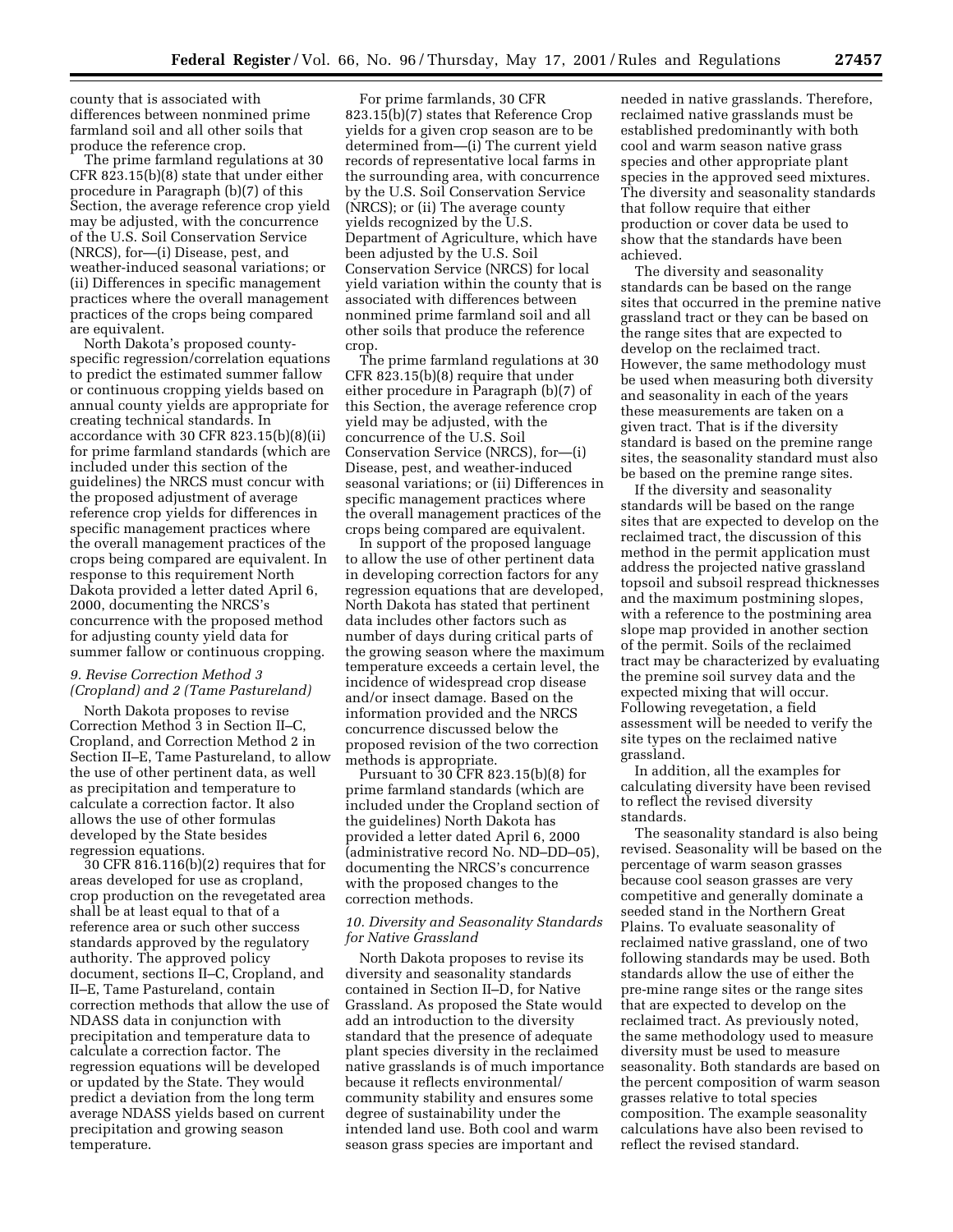county that is associated with differences between nonmined prime farmland soil and all other soils that produce the reference crop.

The prime farmland regulations at 30 CFR 823.15(b)(8) state that under either procedure in Paragraph (b)(7) of this Section, the average reference crop yield may be adjusted, with the concurrence of the U.S. Soil Conservation Service (NRCS), for—(i) Disease, pest, and weather-induced seasonal variations; or (ii) Differences in specific management practices where the overall management practices of the crops being compared are equivalent.

North Dakota's proposed countyspecific regression/correlation equations to predict the estimated summer fallow or continuous cropping yields based on annual county yields are appropriate for creating technical standards. In accordance with 30 CFR 823.15(b)(8)(ii) for prime farmland standards (which are included under this section of the guidelines) the NRCS must concur with the proposed adjustment of average reference crop yields for differences in specific management practices where the overall management practices of the crops being compared are equivalent. In response to this requirement North Dakota provided a letter dated April 6, 2000, documenting the NRCS's concurrence with the proposed method for adjusting county yield data for summer fallow or continuous cropping.

## *9. Revise Correction Method 3 (Cropland) and 2 (Tame Pastureland)*

North Dakota proposes to revise Correction Method 3 in Section II–C, Cropland, and Correction Method 2 in Section II–E, Tame Pastureland, to allow the use of other pertinent data, as well as precipitation and temperature to calculate a correction factor. It also allows the use of other formulas developed by the State besides regression equations.

30 CFR 816.116(b)(2) requires that for areas developed for use as cropland, crop production on the revegetated area shall be at least equal to that of a reference area or such other success standards approved by the regulatory authority. The approved policy document, sections II–C, Cropland, and II–E, Tame Pastureland, contain correction methods that allow the use of NDASS data in conjunction with precipitation and temperature data to calculate a correction factor. The regression equations will be developed or updated by the State. They would predict a deviation from the long term average NDASS yields based on current precipitation and growing season temperature.

For prime farmlands, 30 CFR 823.15(b)(7) states that Reference Crop yields for a given crop season are to be determined from—(i) The current yield records of representative local farms in the surrounding area, with concurrence by the U.S. Soil Conservation Service (NRCS); or (ii) The average county yields recognized by the U.S. Department of Agriculture, which have been adjusted by the U.S. Soil Conservation Service (NRCS) for local yield variation within the county that is associated with differences between nonmined prime farmland soil and all other soils that produce the reference crop.

The prime farmland regulations at 30 CFR 823.15(b)(8) require that under either procedure in Paragraph (b)(7) of this Section, the average reference crop yield may be adjusted, with the concurrence of the U.S. Soil Conservation Service (NRCS), for—(i) Disease, pest, and weather-induced seasonal variations; or (ii) Differences in specific management practices where the overall management practices of the crops being compared are equivalent.

In support of the proposed language to allow the use of other pertinent data in developing correction factors for any regression equations that are developed, North Dakota has stated that pertinent data includes other factors such as number of days during critical parts of the growing season where the maximum temperature exceeds a certain level, the incidence of widespread crop disease and/or insect damage. Based on the information provided and the NRCS concurrence discussed below the proposed revision of the two correction methods is appropriate.

Pursuant to 30 CFR 823.15(b)(8) for prime farmland standards (which are included under the Cropland section of the guidelines) North Dakota has provided a letter dated April 6, 2000 (administrative record No. ND–DD–05), documenting the NRCS's concurrence with the proposed changes to the correction methods.

## *10. Diversity and Seasonality Standards for Native Grassland*

North Dakota proposes to revise its diversity and seasonality standards contained in Section II–D, for Native Grassland. As proposed the State would add an introduction to the diversity standard that the presence of adequate plant species diversity in the reclaimed native grasslands is of much importance because it reflects environmental/ community stability and ensures some degree of sustainability under the intended land use. Both cool and warm season grass species are important and

needed in native grasslands. Therefore, reclaimed native grasslands must be established predominantly with both cool and warm season native grass species and other appropriate plant species in the approved seed mixtures. The diversity and seasonality standards that follow require that either production or cover data be used to show that the standards have been achieved.

The diversity and seasonality standards can be based on the range sites that occurred in the premine native grassland tract or they can be based on the range sites that are expected to develop on the reclaimed tract. However, the same methodology must be used when measuring both diversity and seasonality in each of the years these measurements are taken on a given tract. That is if the diversity standard is based on the premine range sites, the seasonality standard must also be based on the premine range sites.

If the diversity and seasonality standards will be based on the range sites that are expected to develop on the reclaimed tract, the discussion of this method in the permit application must address the projected native grassland topsoil and subsoil respread thicknesses and the maximum postmining slopes, with a reference to the postmining area slope map provided in another section of the permit. Soils of the reclaimed tract may be characterized by evaluating the premine soil survey data and the expected mixing that will occur. Following revegetation, a field assessment will be needed to verify the site types on the reclaimed native grassland.

In addition, all the examples for calculating diversity have been revised to reflect the revised diversity standards.

The seasonality standard is also being revised. Seasonality will be based on the percentage of warm season grasses because cool season grasses are very competitive and generally dominate a seeded stand in the Northern Great Plains. To evaluate seasonality of reclaimed native grassland, one of two following standards may be used. Both standards allow the use of either the pre-mine range sites or the range sites that are expected to develop on the reclaimed tract. As previously noted, the same methodology used to measure diversity must be used to measure seasonality. Both standards are based on the percent composition of warm season grasses relative to total species composition. The example seasonality calculations have also been revised to reflect the revised standard.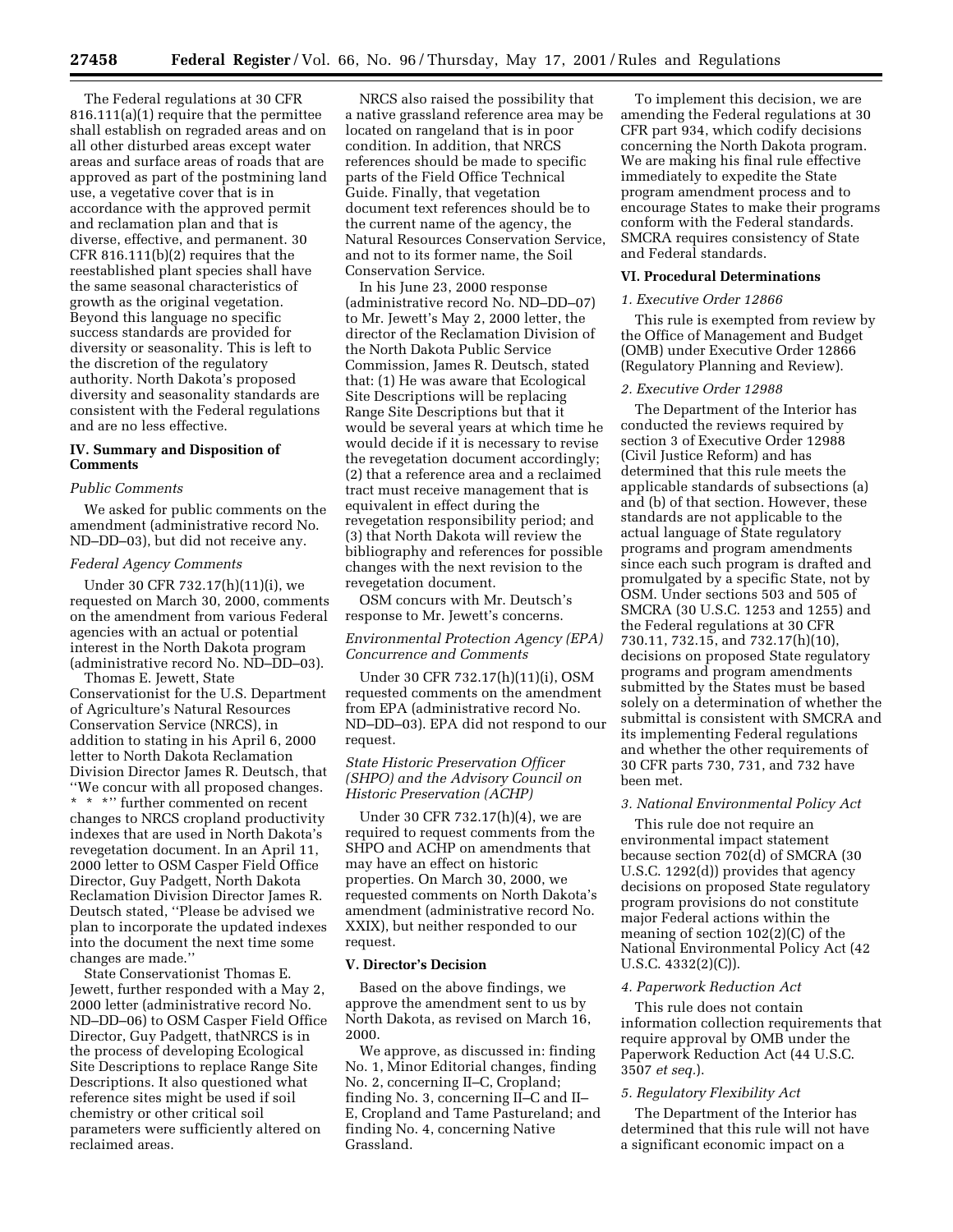The Federal regulations at 30 CFR 816.111(a)(1) require that the permittee shall establish on regraded areas and on all other disturbed areas except water areas and surface areas of roads that are approved as part of the postmining land use, a vegetative cover that is in accordance with the approved permit and reclamation plan and that is diverse, effective, and permanent. 30 CFR 816.111(b)(2) requires that the reestablished plant species shall have the same seasonal characteristics of growth as the original vegetation. Beyond this language no specific success standards are provided for diversity or seasonality. This is left to the discretion of the regulatory authority. North Dakota's proposed diversity and seasonality standards are consistent with the Federal regulations and are no less effective.

## **IV. Summary and Disposition of Comments**

#### *Public Comments*

We asked for public comments on the amendment (administrative record No. ND–DD–03), but did not receive any.

#### *Federal Agency Comments*

Under 30 CFR 732.17(h)(11)(i), we requested on March 30, 2000, comments on the amendment from various Federal agencies with an actual or potential interest in the North Dakota program (administrative record No. ND–DD–03).

Thomas E. Jewett, State Conservationist for the U.S. Department of Agriculture's Natural Resources Conservation Service (NRCS), in addition to stating in his April 6, 2000 letter to North Dakota Reclamation Division Director James R. Deutsch, that ''We concur with all proposed changes. \*\*\*'' further commented on recent changes to NRCS cropland productivity indexes that are used in North Dakota's revegetation document. In an April 11, 2000 letter to OSM Casper Field Office Director, Guy Padgett, North Dakota Reclamation Division Director James R. Deutsch stated, ''Please be advised we plan to incorporate the updated indexes into the document the next time some changes are made.''

State Conservationist Thomas E. Jewett, further responded with a May 2, 2000 letter (administrative record No. ND–DD–06) to OSM Casper Field Office Director, Guy Padgett, thatNRCS is in the process of developing Ecological Site Descriptions to replace Range Site Descriptions. It also questioned what reference sites might be used if soil chemistry or other critical soil parameters were sufficiently altered on reclaimed areas.

NRCS also raised the possibility that a native grassland reference area may be located on rangeland that is in poor condition. In addition, that NRCS references should be made to specific parts of the Field Office Technical Guide. Finally, that vegetation document text references should be to the current name of the agency, the Natural Resources Conservation Service, and not to its former name, the Soil Conservation Service.

In his June 23, 2000 response (administrative record No. ND–DD–07) to Mr. Jewett's May 2, 2000 letter, the director of the Reclamation Division of the North Dakota Public Service Commission, James R. Deutsch, stated that: (1) He was aware that Ecological Site Descriptions will be replacing Range Site Descriptions but that it would be several years at which time he would decide if it is necessary to revise the revegetation document accordingly; (2) that a reference area and a reclaimed tract must receive management that is equivalent in effect during the revegetation responsibility period; and (3) that North Dakota will review the bibliography and references for possible changes with the next revision to the revegetation document.

OSM concurs with Mr. Deutsch's response to Mr. Jewett's concerns.

## *Environmental Protection Agency (EPA) Concurrence and Comments*

Under 30 CFR 732.17(h)(11)(i), OSM requested comments on the amendment from EPA (administrative record No. ND–DD–03). EPA did not respond to our request.

# *State Historic Preservation Officer (SHPO) and the Advisory Council on Historic Preservation (ACHP)*

Under 30 CFR 732.17(h)(4), we are required to request comments from the SHPO and ACHP on amendments that may have an effect on historic properties. On March 30, 2000, we requested comments on North Dakota's amendment (administrative record No. XXIX), but neither responded to our request.

# **V. Director's Decision**

Based on the above findings, we approve the amendment sent to us by North Dakota, as revised on March 16, 2000.

We approve, as discussed in: finding No. 1, Minor Editorial changes, finding No. 2, concerning II–C, Cropland; finding No. 3, concerning II–C and II– E, Cropland and Tame Pastureland; and finding No. 4, concerning Native Grassland.

To implement this decision, we are amending the Federal regulations at 30 CFR part 934, which codify decisions concerning the North Dakota program. We are making his final rule effective immediately to expedite the State program amendment process and to encourage States to make their programs conform with the Federal standards. SMCRA requires consistency of State and Federal standards.

# **VI. Procedural Determinations**

#### *1. Executive Order 12866*

This rule is exempted from review by the Office of Management and Budget (OMB) under Executive Order 12866 (Regulatory Planning and Review).

## *2. Executive Order 12988*

The Department of the Interior has conducted the reviews required by section 3 of Executive Order 12988 (Civil Justice Reform) and has determined that this rule meets the applicable standards of subsections (a) and (b) of that section. However, these standards are not applicable to the actual language of State regulatory programs and program amendments since each such program is drafted and promulgated by a specific State, not by OSM. Under sections 503 and 505 of SMCRA (30 U.S.C. 1253 and 1255) and the Federal regulations at 30 CFR 730.11, 732.15, and 732.17(h)(10), decisions on proposed State regulatory programs and program amendments submitted by the States must be based solely on a determination of whether the submittal is consistent with SMCRA and its implementing Federal regulations and whether the other requirements of 30 CFR parts 730, 731, and 732 have been met.

## *3. National Environmental Policy Act*

This rule doe not require an environmental impact statement because section 702(d) of SMCRA (30 U.S.C. 1292(d)) provides that agency decisions on proposed State regulatory program provisions do not constitute major Federal actions within the meaning of section 102(2)(C) of the National Environmental Policy Act (42 U.S.C. 4332(2)(C)).

#### *4. Paperwork Reduction Act*

This rule does not contain information collection requirements that require approval by OMB under the Paperwork Reduction Act (44 U.S.C. 3507 *et seq.*).

# *5. Regulatory Flexibility Act*

The Department of the Interior has determined that this rule will not have a significant economic impact on a